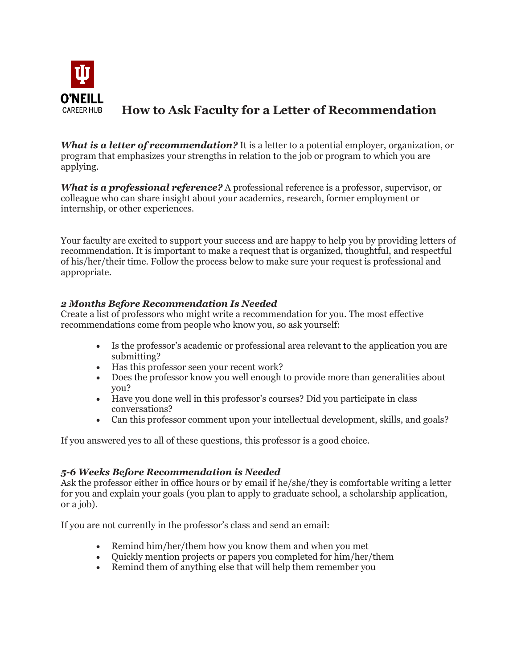

# **How to Ask Faculty for a Letter of Recommendation**

*What is a letter of recommendation?* It is a letter to a potential employer, organization, or program that emphasizes your strengths in relation to the job or program to which you are applying.

*What is a professional reference?* A professional reference is a professor, supervisor, or colleague who can share insight about your academics, research, former employment or internship, or other experiences.

Your faculty are excited to support your success and are happy to help you by providing letters of recommendation. It is important to make a request that is organized, thoughtful, and respectful of his/her/their time. Follow the process below to make sure your request is professional and appropriate.

## *2 Months Before Recommendation Is Needed*

Create a list of professors who might write a recommendation for you. The most effective recommendations come from people who know you, so ask yourself:

- Is the professor's academic or professional area relevant to the application you are submitting?
- Has this professor seen your recent work?
- Does the professor know you well enough to provide more than generalities about you?
- Have you done well in this professor's courses? Did you participate in class conversations?
- Can this professor comment upon your intellectual development, skills, and goals?

If you answered yes to all of these questions, this professor is a good choice.

## *5-6 Weeks Before Recommendation is Needed*

Ask the professor either in office hours or by email if he/she/they is comfortable writing a letter for you and explain your goals (you plan to apply to graduate school, a scholarship application, or a job).

If you are not currently in the professor's class and send an email:

- Remind him/her/them how you know them and when you met
- Quickly mention projects or papers you completed for him/her/them
- Remind them of anything else that will help them remember you